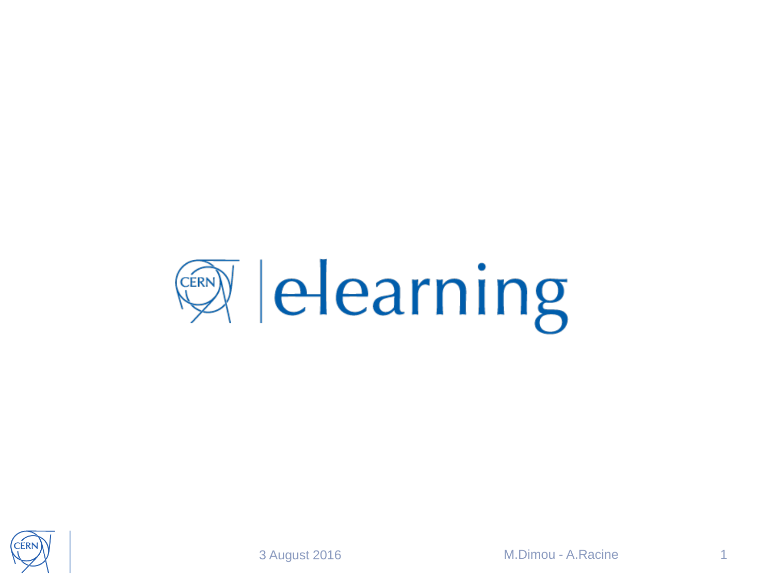

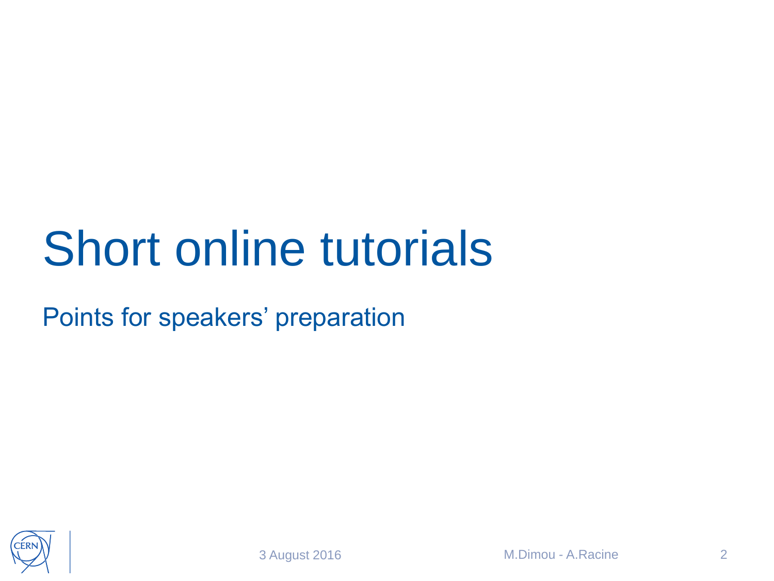#### Short online tutorials

Points for speakers' preparation

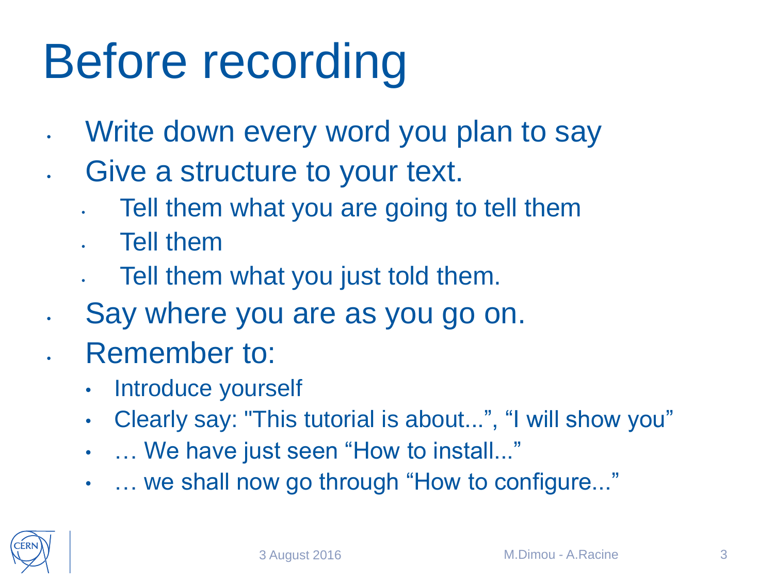# Before recording

- Write down every word you plan to say
- Give a structure to your text.
	- Tell them what you are going to tell them
	- Tell them
	- Tell them what you just told them.
- Say where you are as you go on.
- Remember to:
	- Introduce yourself
	- Clearly say: "This tutorial is about...", "I will show you"
	- … We have just seen "How to install..."
	- … we shall now go through "How to configure..."

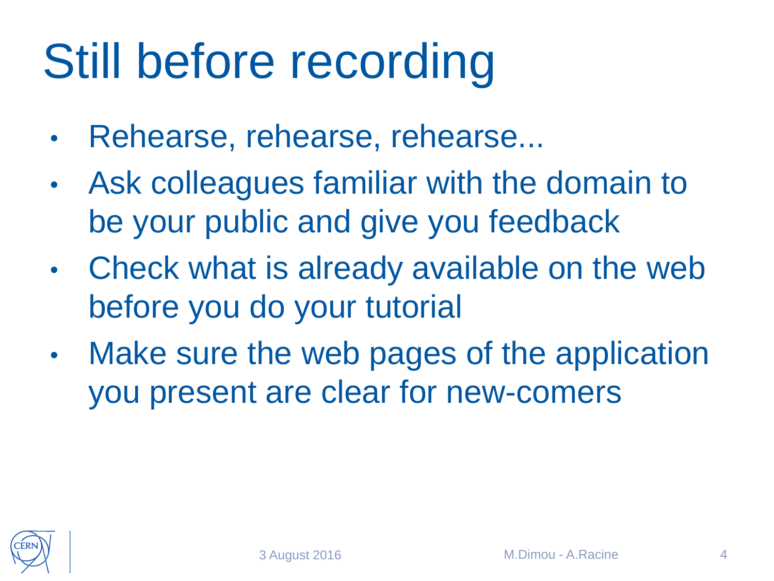### Still before recording

- Rehearse, rehearse, rehearse...
- Ask colleagues familiar with the domain to be your public and give you feedback
- Check what is already available on the web before you do your tutorial
- Make sure the web pages of the application you present are clear for new-comers

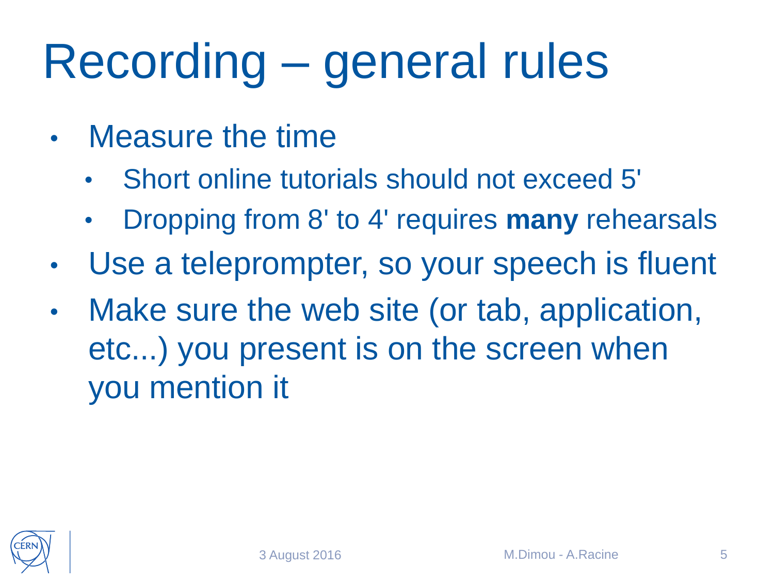# Recording – general rules

- Measure the time
	- Short online tutorials should not exceed 5'
	- Dropping from 8' to 4' requires **many** rehearsals
- Use a teleprompter, so your speech is fluent
- Make sure the web site (or tab, application, etc...) you present is on the screen when you mention it

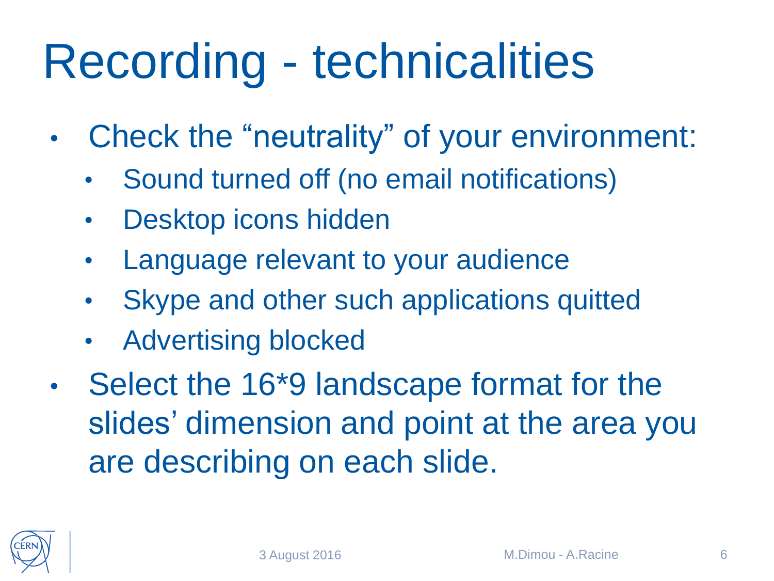### Recording - technicalities

- Check the "neutrality" of your environment:
	- Sound turned off (no email notifications)
	- Desktop icons hidden
	- Language relevant to your audience
	- Skype and other such applications quitted
	- Advertising blocked
- Select the 16\*9 landscape format for the slides' dimension and point at the area you are describing on each slide.

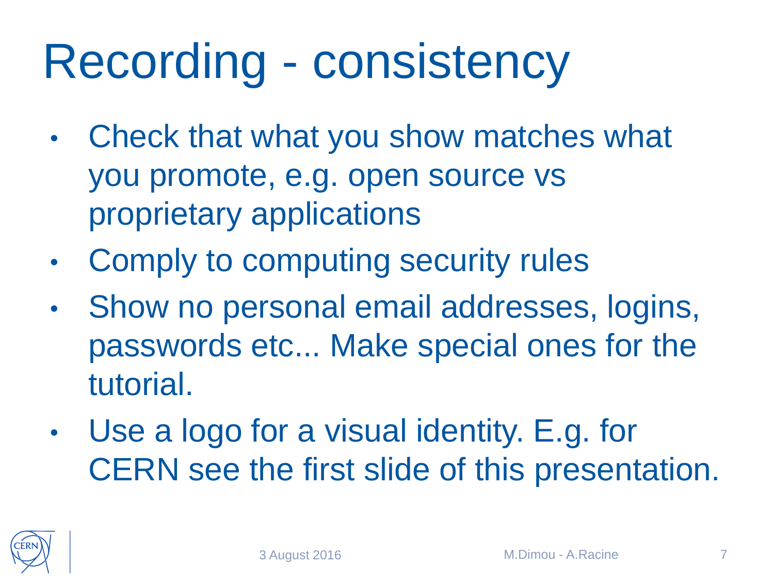#### Recording - consistency

- Check that what you show matches what you promote, e.g. open source vs proprietary applications
- Comply to computing security rules
- Show no personal email addresses, logins, passwords etc... Make special ones for the tutorial.
- Use a logo for a visual identity. E.g. for CERN see the first slide of this presentation.

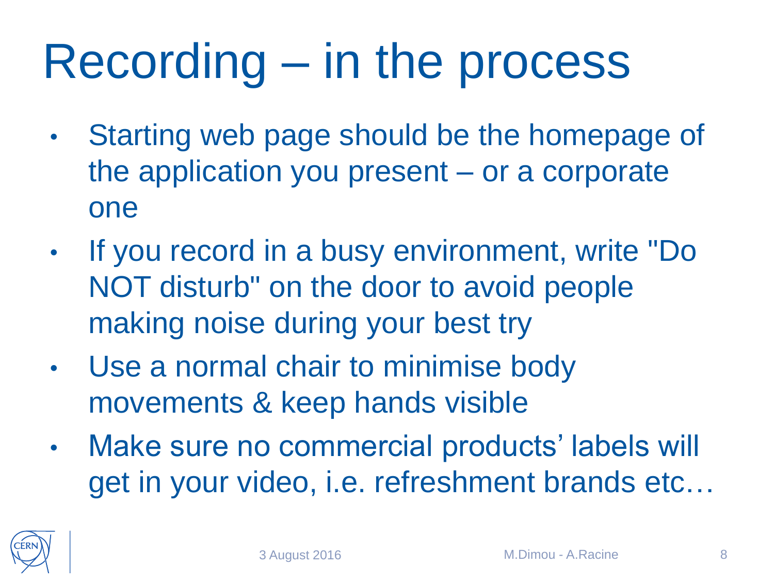### Recording – in the process

- Starting web page should be the homepage of the application you present – or a corporate one
- If you record in a busy environment, write "Do NOT disturb" on the door to avoid people making noise during your best try
- Use a normal chair to minimise body movements & keep hands visible
- Make sure no commercial products' labels will get in your video, i.e. refreshment brands etc…

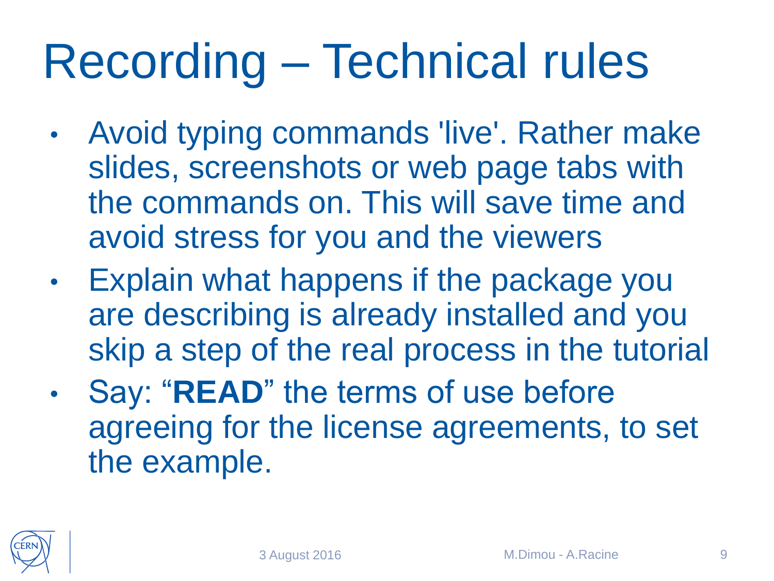## Recording – Technical rules

- Avoid typing commands 'live'. Rather make slides, screenshots or web page tabs with the commands on. This will save time and avoid stress for you and the viewers
- Explain what happens if the package you are describing is already installed and you skip a step of the real process in the tutorial
- Say: "**READ**" the terms of use before agreeing for the license agreements, to set the example.

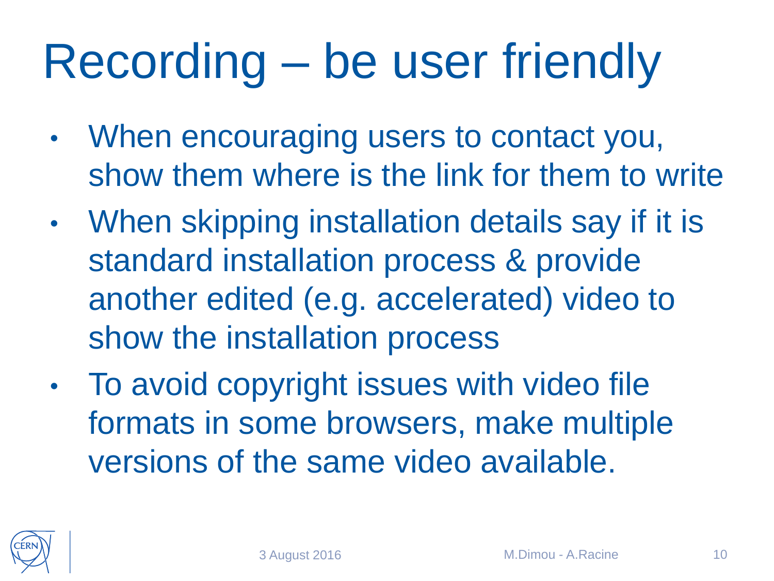## Recording – be user friendly

- When encouraging users to contact you, show them where is the link for them to write
- When skipping installation details say if it is standard installation process & provide another edited (e.g. accelerated) video to show the installation process
- To avoid copyright issues with video file formats in some browsers, make multiple versions of the same video available.

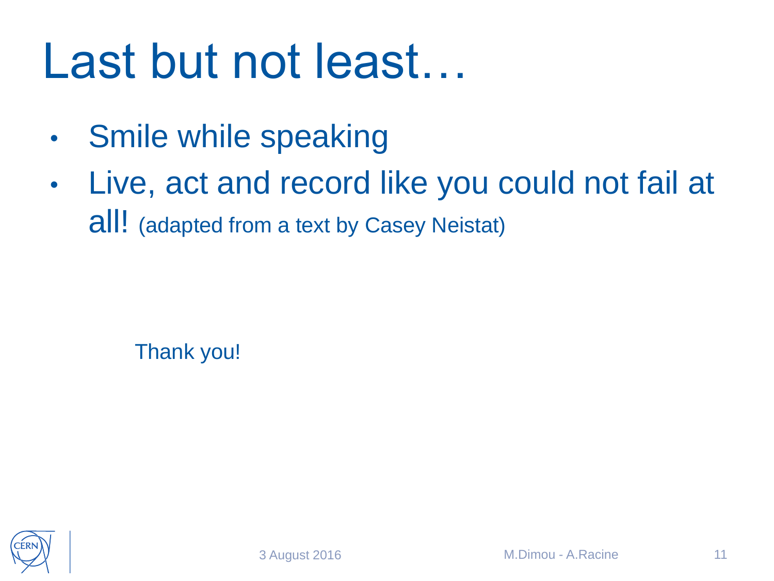#### Last but not least…

- Smile while speaking
- Live, act and record like you could not fail at all! (adapted from a text by Casey Neistat)

Thank you!